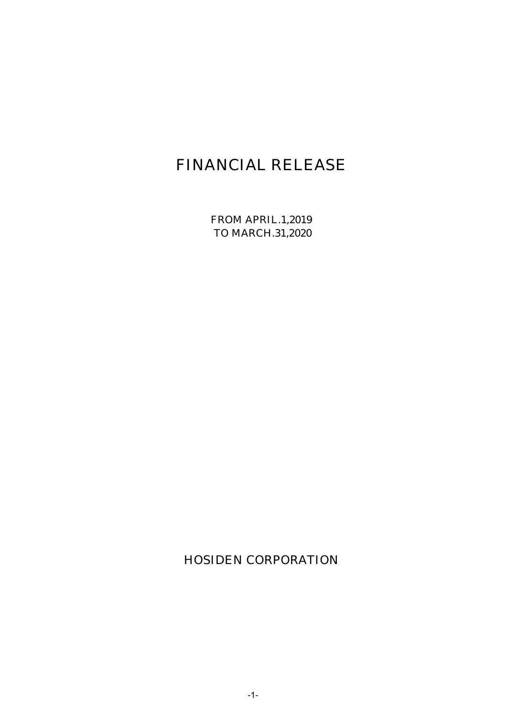# FINANCIAL RELEASE

FROM APRIL.1,2019 TO MARCH.31,2020

HOSIDEN CORPORATION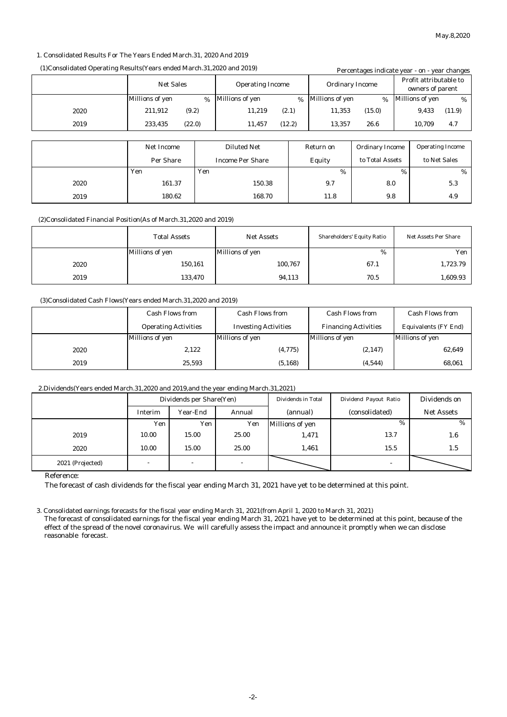#### 1. Consolidated Results For The Years Ended March.31, 2020 And 2019

#### $(1)$ Consolidated Operating Results(Years ended March.31,2020 and 2019) Percentages indicate  $\Gamma$

| $(1)$ consolidated $\circ$ per ating resolute $(1)$ cars entred mail enorgions and sore $\rho$ |                                             |     |                         |        | Percentages indicate year - on - year changes |                                            |      |                         |        |
|------------------------------------------------------------------------------------------------|---------------------------------------------|-----|-------------------------|--------|-----------------------------------------------|--------------------------------------------|------|-------------------------|--------|
|                                                                                                | <b>Net Sales</b><br><b>Operating Income</b> |     | <b>Ordinary Income</b>  |        |                                               | Profit attributable to<br>owners of parent |      |                         |        |
|                                                                                                | Millions of yen                             | %   | Millions of yen         | $\%$   | Millions of yen                               | %                                          |      | Millions of yen         | $\%$   |
| 2020                                                                                           | (9.2)<br>211,912                            |     | 11,219                  | (2.1)  | 11,353                                        | (15.0)                                     |      | 9,433                   | (11.9) |
| 2019                                                                                           | (22.0)<br>233,435                           |     | 11,457                  | (12.2) | 13,357                                        | 26.6                                       |      | 10,709                  | 4.7    |
|                                                                                                |                                             |     |                         |        |                                               |                                            |      |                         |        |
|                                                                                                | <b>Net Income</b>                           |     | <b>Diluted Net</b>      |        | Return on                                     | <b>Ordinary Income</b>                     |      | <b>Operating Income</b> |        |
|                                                                                                | Per Share                                   |     | <b>Income Per Share</b> |        | <b>Equity</b>                                 | to Total Assets                            |      | to Net Sales            |        |
|                                                                                                | Yen                                         | Yen |                         |        | %                                             |                                            | $\%$ |                         | %      |
| 2020                                                                                           | 161.37                                      |     | 150.38                  |        | 9.7                                           | 8.0                                        |      |                         | 5.3    |
| 2019                                                                                           | 180.62                                      |     | 168.70                  |        | 11.8                                          | 9.8                                        |      |                         | 4.9    |

(2)Consolidated Financial Position(As of March.31,2020 and 2019)

|      | <b>Total Assets</b> | <b>Net Assets</b> | <b>Shareholders' Equity Ratio</b> | <b>Net Assets Per Share</b> |
|------|---------------------|-------------------|-----------------------------------|-----------------------------|
|      | Millions of yen     | Millions of yen   | %                                 | Yen                         |
| 2020 | 150,161             | 100,767           | 67.1                              | 1,723.79                    |
| 2019 | 133,470             | 94,113            | 70.5                              | 1,609.93                    |

#### (3)Consolidated Cash Flows(Years ended March.31,2020 and 2019)

|      | <b>Cash Flows from</b>      | <b>Cash Flows from</b>      | <b>Cash Flows from</b>      | <b>Cash Flows from</b>      |
|------|-----------------------------|-----------------------------|-----------------------------|-----------------------------|
|      | <b>Operating Activities</b> | <b>Investing Activities</b> | <b>Financing Activities</b> | <b>Equivalents (FY End)</b> |
|      | Millions of yen             | Millions of yen             | Millions of yen             | <b>Millions of yen</b>      |
| 2020 | 2,122                       | (4, 775)                    | (2, 147)                    | 62,649                      |
| 2019 | 25,593                      | (5, 168)                    | (4,544)                     | 68,061                      |

#### 2.Dividends(Years ended March.31,2020 and 2019,and the year ending March.31,2021)

|                  | Dividends per Share(Yen)      |                          | Dividends in Total | Dividend Payout Ratio | Dividends on             |     |
|------------------|-------------------------------|--------------------------|--------------------|-----------------------|--------------------------|-----|
|                  | Annual<br>Year-End<br>Interim |                          | (annual)           | (consolidated)        | <b>Net Assets</b>        |     |
|                  | Yen                           | Yen                      | Yen                | Millions of yen       | $\%$                     | %   |
| 2019             | 10.00                         | 15.00                    | 25.00              | 1,471                 | 13.7                     | 1.6 |
| 2020             | 10.00                         | 15.00                    | 25.00              | 1,461                 | 15.5                     | 1.5 |
| 2021 (Projected) | $\overline{\phantom{a}}$      | $\overline{\phantom{a}}$ |                    |                       | $\overline{\phantom{0}}$ |     |

Reference:

The forecast of cash dividends for the fiscal year ending March 31, 2021 have yet to be determined at this point.

3. Consolidated earnings forecasts for the fiscal year ending March 31, 2021(from April 1, 2020 to March 31, 2021)

 The forecast of consolidated earnings for the fiscal year ending March 31, 2021 have yet to be determined at this point, because of the effect of the spread of the novel coronavirus. We will carefully assess the impact and announce it promptly when we can disclose reasonable forecast.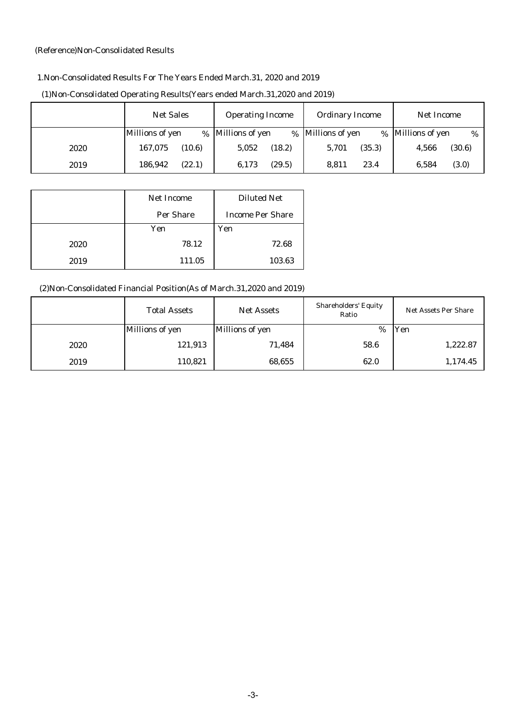#### (Reference)Non-Consolidated Results

### 1.Non-Consolidated Results For The Years Ended March.31, 2020 and 2019

|      | <b>Net Sales</b> | <b>Operating Income</b> | <b>Ordinary Income</b>    | Net Income              |
|------|------------------|-------------------------|---------------------------|-------------------------|
|      | Millions of yen  | % Millions of yen       | % Millions of yen<br>$\%$ | Millions of yen<br>$\%$ |
| 2020 | 167,075          | 5,052                   | (35.3)                    | (30.6)                  |
|      | (10.6)           | (18.2)                  | 5,701                     | 4,566                   |
| 2019 | (22.1)           | (29.5)                  | 8.811                     | (3.0)                   |
|      | 186.942          | 6,173                   | 23.4                      | 6,584                   |

#### (1)Non-Consolidated Operating Results(Years ended March.31,2020 and 2019)

|      | <b>Net Income</b> | <b>Diluted Net</b>      |
|------|-------------------|-------------------------|
|      | <b>Per Share</b>  | <b>Income Per Share</b> |
|      | Yen               | Yen                     |
| 2020 | 78.12             | 72.68                   |
| 2019 | 111.05            | 103.63                  |

## (2)Non-Consolidated Financial Position(As of March.31,2020 and 2019)

|      | <b>Total Assets</b>    | <b>Net Assets</b>      | <b>Shareholders' Equity</b><br>Ratio | <b>Net Assets Per Share</b> |  |
|------|------------------------|------------------------|--------------------------------------|-----------------------------|--|
|      | <b>Millions of yen</b> | <b>Millions of yen</b> | $\%$                                 | Yen                         |  |
| 2020 | 121,913                | 71,484                 | 58.6                                 | 1,222.87                    |  |
| 2019 | 110,821                | 68,655                 | 62.0                                 | 1,174.45                    |  |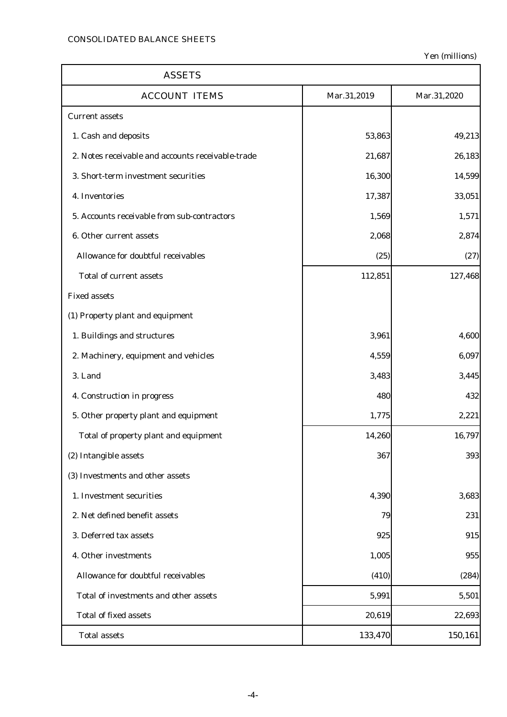| <b>ASSETS</b>                                     |             |             |
|---------------------------------------------------|-------------|-------------|
| <b>ACCOUNT ITEMS</b>                              | Mar.31,2019 | Mar.31,2020 |
| <b>Current assets</b>                             |             |             |
| 1. Cash and deposits                              | 53,863      | 49,213      |
| 2. Notes receivable and accounts receivable-trade | 21,687      | 26,183      |
| 3. Short-term investment securities               | 16,300      | 14,599      |
| 4. Inventories                                    | 17,387      | 33,051      |
| 5. Accounts receivable from sub-contractors       | 1,569       | 1,571       |
| 6. Other current assets                           | 2,068       | 2,874       |
| Allowance for doubtful receivables                | (25)        | (27)        |
| <b>Total of current assets</b>                    | 112,851     | 127,468     |
| <b>Fixed assets</b>                               |             |             |
| (1) Property plant and equipment                  |             |             |
| 1. Buildings and structures                       | 3,961       | 4,600       |
| 2. Machinery, equipment and vehicles              | 4,559       | 6,097       |
| 3. Land                                           | 3,483       | 3,445       |
| 4. Construction in progress                       | 480         | 432         |
| 5. Other property plant and equipment             | 1,775       | 2,221       |
| Total of property plant and equipment             | 14,260      | 16,797      |
| (2) Intangible assets                             | 367         | 393         |
| (3) Investments and other assets                  |             |             |
| 1. Investment securities                          | 4,390       | 3,683       |
| 2. Net defined benefit assets                     | 79          | 231         |
| 3. Deferred tax assets                            | 925         | 915         |
| 4. Other investments                              | 1,005       | 955         |
| Allowance for doubtful receivables                | (410)       | (284)       |
| Total of investments and other assets             | 5,991       | 5,501       |
| <b>Total of fixed assets</b>                      | 20,619      | 22,693      |
| <b>Total assets</b>                               | 133,470     | 150,161     |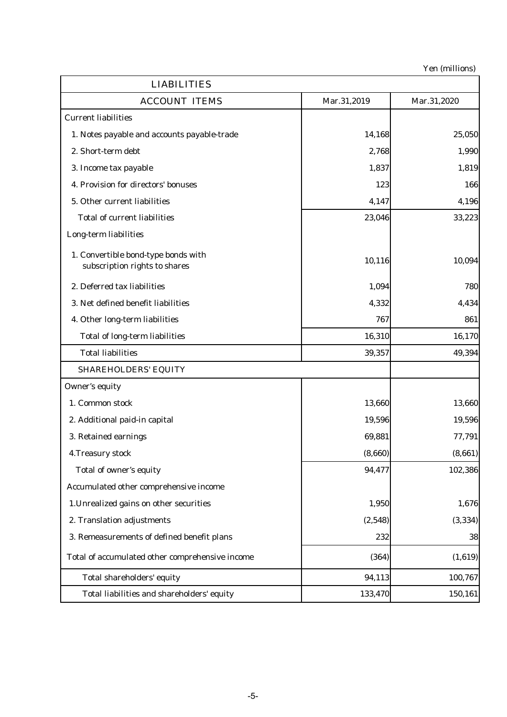| <b>LIABILITIES</b>                                                   |             |             |
|----------------------------------------------------------------------|-------------|-------------|
| <b>ACCOUNT ITEMS</b>                                                 | Mar.31,2019 | Mar.31,2020 |
| <b>Current liabilities</b>                                           |             |             |
| 1. Notes payable and accounts payable-trade                          | 14,168      | 25,050      |
| 2. Short-term debt                                                   | 2,768       | 1,990       |
| 3. Income tax payable                                                | 1,837       | 1,819       |
| 4. Provision for directors' bonuses                                  | 123         | 166         |
| 5. Other current liabilities                                         | 4,147       | 4,196       |
| <b>Total of current liabilities</b>                                  | 23,046      | 33,223      |
| Long-term liabilities                                                |             |             |
| 1. Convertible bond-type bonds with<br>subscription rights to shares | 10,116      | 10,094      |
| 2. Deferred tax liabilities                                          | 1,094       | 780         |
| 3. Net defined benefit liabilities                                   | 4,332       | 4,434       |
| 4. Other long-term liabilities                                       | 767         | 861         |
| <b>Total of long-term liabilities</b>                                | 16,310      | 16,170      |
| <b>Total liabilities</b>                                             | 39,357      | 49,394      |
| <b>SHAREHOLDERS' EQUITY</b>                                          |             |             |
| <b>Owner's equity</b>                                                |             |             |
| 1. Common stock                                                      | 13,660      | 13,660      |
| 2. Additional paid-in capital                                        | 19,596      | 19,596      |
| 3. Retained earnings                                                 | 69,881      | 77,791      |
| 4. Treasury stock                                                    | (8,660)     | (8,661)     |
| Total of owner's equity                                              | 94,477      | 102,386     |
| Accumulated other comprehensive income                               |             |             |
| 1. Unrealized gains on other securities                              | 1,950       | 1,676       |
| 2. Translation adjustments                                           | (2,548)     | (3, 334)    |
| 3. Remeasurements of defined benefit plans                           | 232         | 38          |
| Total of accumulated other comprehensive income                      | (364)       | (1,619)     |
| Total shareholders' equity                                           | 94,113      | 100,767     |
| Total liabilities and shareholders' equity                           | 133,470     | 150,161     |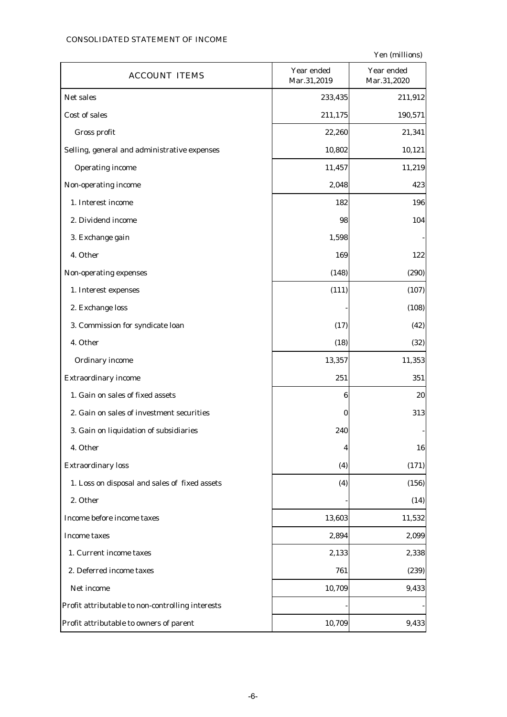### CONSOLIDATED STATEMENT OF INCOME

| <b>ACCOUNT ITEMS</b>                             | Year ended<br>Mar.31,2019 | Year ended<br>Mar.31,2020 |
|--------------------------------------------------|---------------------------|---------------------------|
| Net sales                                        | 233,435                   | 211,912                   |
| Cost of sales                                    | 211,175                   | 190,571                   |
| Gross profit                                     | 22,260                    | 21,341                    |
| Selling, general and administrative expenses     | 10,802                    | 10,121                    |
| <b>Operating income</b>                          | 11,457                    | 11,219                    |
| Non-operating income                             | 2,048                     | 423                       |
| 1. Interest income                               | 182                       | 196                       |
| 2. Dividend income                               | 98                        | 104                       |
| 3. Exchange gain                                 | 1,598                     |                           |
| 4. Other                                         | 169                       | 122                       |
| Non-operating expenses                           | (148)                     | (290)                     |
| 1. Interest expenses                             | (111)                     | (107)                     |
| 2. Exchange loss                                 |                           | (108)                     |
| 3. Commission for syndicate loan                 | (17)                      | (42)                      |
| 4. Other                                         | (18)                      | (32)                      |
| <b>Ordinary income</b>                           | 13,357                    | 11,353                    |
| <b>Extraordinary income</b>                      | 251                       | 351                       |
| 1. Gain on sales of fixed assets                 | 6                         | 20                        |
| 2. Gain on sales of investment securities        | 0                         | 313                       |
| 3. Gain on liquidation of subsidiaries           | 240                       |                           |
| 4. Other                                         | 4                         | 16                        |
| <b>Extraordinary loss</b>                        | (4)                       | (171)                     |
| 1. Loss on disposal and sales of fixed assets    | (4)                       | (156)                     |
| 2. Other                                         |                           | (14)                      |
| Income before income taxes                       | 13,603                    | 11,532                    |
| <b>Income taxes</b>                              | 2,894                     | 2,099                     |
| 1. Current income taxes                          | 2,133                     | 2,338                     |
| 2. Deferred income taxes                         | 761                       | (239)                     |
| Net income                                       | 10,709                    | 9,433                     |
| Profit attributable to non-controlling interests |                           |                           |
| Profit attributable to owners of parent          | 10,709                    | 9,433                     |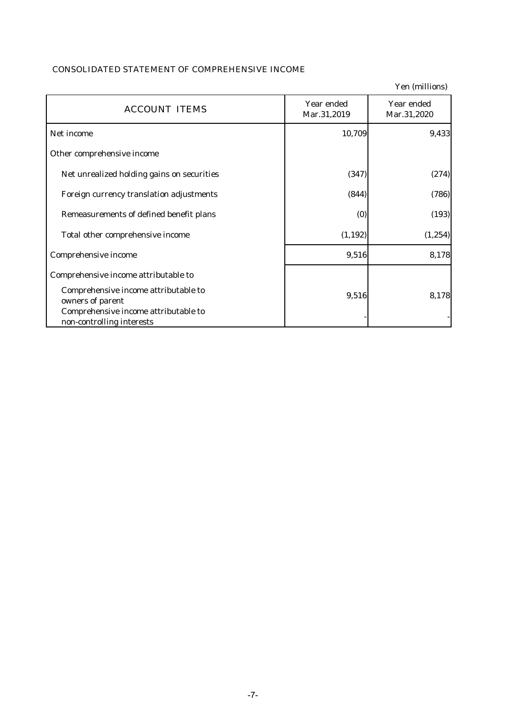## CONSOLIDATED STATEMENT OF COMPREHENSIVE INCOME

|                                                                                                  |                           | Yen (millions)            |
|--------------------------------------------------------------------------------------------------|---------------------------|---------------------------|
| <b>ACCOUNT ITEMS</b>                                                                             | Year ended<br>Mar.31,2019 | Year ended<br>Mar.31,2020 |
| Net income                                                                                       | 10,709                    | 9,433                     |
| Other comprehensive income                                                                       |                           |                           |
| Net unrealized holding gains on securities                                                       | (347)                     | (274)                     |
| Foreign currency translation adjustments                                                         | (844)                     | (786)                     |
| Remeasurements of defined benefit plans                                                          | (0)                       | (193)                     |
| Total other comprehensive income                                                                 | (1, 192)                  | (1,254)                   |
| Comprehensive income                                                                             | 9,516                     | 8,178                     |
| Comprehensive income attributable to                                                             |                           |                           |
| Comprehensive income attributable to<br>owners of parent<br>Comprehensive income attributable to | 9,516                     | 8,178                     |
| non-controlling interests                                                                        |                           |                           |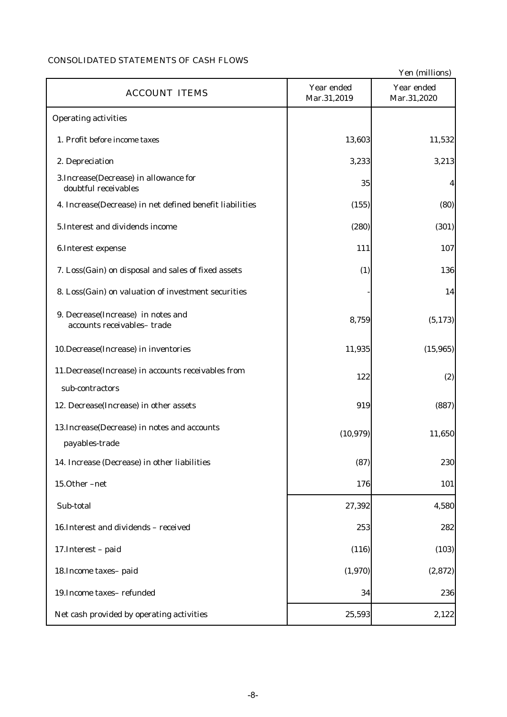## CONSOLIDATED STATEMENTS OF CASH FLOWS

|                                                                  |                           | Yen (millions)            |
|------------------------------------------------------------------|---------------------------|---------------------------|
| <b>ACCOUNT ITEMS</b>                                             | Year ended<br>Mar.31,2019 | Year ended<br>Mar.31,2020 |
| <b>Operating activities</b>                                      |                           |                           |
| 1. Profit before income taxes                                    | 13,603                    | 11,532                    |
| 2. Depreciation                                                  | 3,233                     | 3,213                     |
| 3. Increase (Decrease) in allowance for<br>doubtful receivables  | 35                        | 4                         |
| 4. Increase(Decrease) in net defined benefit liabilities         | (155)                     | (80)                      |
| 5. Interest and dividends income                                 | (280)                     | (301)                     |
| 6. Interest expense                                              | 111                       | 107                       |
| 7. Loss(Gain) on disposal and sales of fixed assets              | (1)                       | 136                       |
| 8. Loss(Gain) on valuation of investment securities              |                           | 14                        |
| 9. Decrease(Increase) in notes and<br>accounts receivables-trade | 8,759                     | (5, 173)                  |
| 10. Decrease (Increase) in inventories                           | 11,935                    | (15, 965)                 |
| 11. Decrease (Increase) in accounts receivables from             | 122                       | (2)                       |
| sub-contractors                                                  |                           |                           |
| 12. Decrease(Increase) in other assets                           | 919                       | (887)                     |
| 13. Increase (Decrease) in notes and accounts<br>payables-trade  | (10, 979)                 | 11,650                    |
| 14. Increase (Decrease) in other liabilities                     | (87)                      | 230                       |
| 15.0ther-net                                                     | 176                       | 101                       |
| Sub-total                                                        | 27,392                    | 4,580                     |
| 16. Interest and dividends - received                            | 253                       | 282                       |
| 17. Interest - paid                                              | (116)                     | (103)                     |
| 18. Income taxes-paid                                            | (1,970)                   | (2,872)                   |
| 19. Income taxes-refunded                                        | 34                        | 236                       |
| Net cash provided by operating activities                        | 25,593                    | 2,122                     |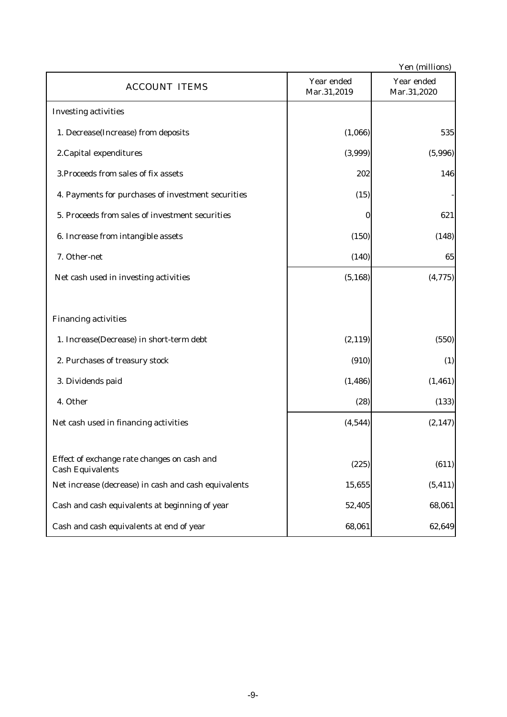|                                                                        | Yen (millions)            |                           |  |  |  |  |  |
|------------------------------------------------------------------------|---------------------------|---------------------------|--|--|--|--|--|
| <b>ACCOUNT ITEMS</b>                                                   | Year ended<br>Mar.31,2019 | Year ended<br>Mar.31,2020 |  |  |  |  |  |
| <b>Investing activities</b>                                            |                           |                           |  |  |  |  |  |
| 1. Decrease(Increase) from deposits                                    | (1,066)                   | 535                       |  |  |  |  |  |
| 2. Capital expenditures                                                | (3,999)                   | (5,996)                   |  |  |  |  |  |
| 3. Proceeds from sales of fix assets                                   | 202                       | 146                       |  |  |  |  |  |
| 4. Payments for purchases of investment securities                     | (15)                      |                           |  |  |  |  |  |
| 5. Proceeds from sales of investment securities                        | $\bf{0}$                  | 621                       |  |  |  |  |  |
| 6. Increase from intangible assets                                     | (150)                     | (148)                     |  |  |  |  |  |
| 7. Other-net                                                           | (140)                     | 65                        |  |  |  |  |  |
| Net cash used in investing activities                                  | (5, 168)                  | (4, 775)                  |  |  |  |  |  |
|                                                                        |                           |                           |  |  |  |  |  |
| <b>Financing activities</b>                                            |                           |                           |  |  |  |  |  |
| 1. Increase(Decrease) in short-term debt                               | (2, 119)                  | (550)                     |  |  |  |  |  |
| 2. Purchases of treasury stock                                         | (910)                     | (1)                       |  |  |  |  |  |
| 3. Dividends paid                                                      | (1, 486)                  | (1, 461)                  |  |  |  |  |  |
| 4. Other                                                               | (28)                      | (133)                     |  |  |  |  |  |
| Net cash used in financing activities                                  | (4, 544)                  | (2, 147)                  |  |  |  |  |  |
|                                                                        |                           |                           |  |  |  |  |  |
| Effect of exchange rate changes on cash and<br><b>Cash Equivalents</b> | (225)                     | (611)                     |  |  |  |  |  |
| Net increase (decrease) in cash and cash equivalents                   | 15,655                    | (5, 411)                  |  |  |  |  |  |
| Cash and cash equivalents at beginning of year                         | 52,405                    | 68,061                    |  |  |  |  |  |
| Cash and cash equivalents at end of year                               | 68,061                    | 62,649                    |  |  |  |  |  |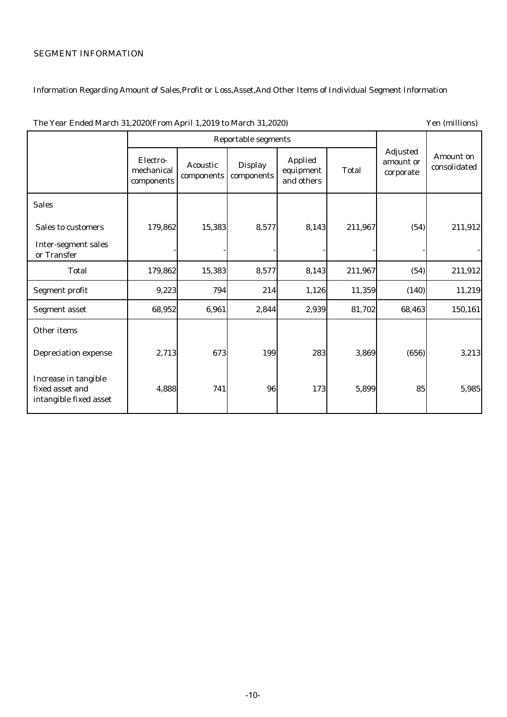#### SEGMENT INFORMATION

## Information Regarding Amount of Sales,Profit or Loss,Asset,And Other Items of Individual Segment Information

| The Tear Ended March 31,2020(Prom April 1,2019 to March 31,2020)<br>ren (minimus) |                                      |                        |                              |                                           |              |                                           |                           |  |
|-----------------------------------------------------------------------------------|--------------------------------------|------------------------|------------------------------|-------------------------------------------|--------------|-------------------------------------------|---------------------------|--|
|                                                                                   | <b>Reportable segments</b>           |                        |                              |                                           |              |                                           |                           |  |
|                                                                                   | Electro-<br>mechanical<br>components | Acoustic<br>components | <b>Display</b><br>components | <b>Applied</b><br>equipment<br>and others | <b>Total</b> | <b>Adjusted</b><br>amount or<br>corporate | Amount on<br>consolidated |  |
| <b>Sales</b>                                                                      |                                      |                        |                              |                                           |              |                                           |                           |  |
| <b>Sales to customers</b>                                                         | 179,862                              | 15,383                 | 8,577                        | 8,143                                     | 211,967      | (54)                                      | 211,912                   |  |
| <b>Inter-segment sales</b><br>or Transfer                                         |                                      |                        |                              |                                           |              |                                           |                           |  |
| <b>Total</b>                                                                      | 179,862                              | 15,383                 | 8,577                        | 8,143                                     | 211,967      | (54)                                      | 211,912                   |  |
| <b>Segment profit</b>                                                             | 9,223                                | 794                    | 214                          | 1,126                                     | 11,359       | (140)                                     | 11,219                    |  |
| <b>Segment asset</b>                                                              | 68,952                               | 6,961                  | 2,844                        | 2,939                                     | 81,702       | 68,463                                    | 150,161                   |  |
| Other items                                                                       |                                      |                        |                              |                                           |              |                                           |                           |  |
| <b>Depreciation expense</b>                                                       | 2,713                                | 673                    | 199                          | 283                                       | 3,869        | (656)                                     | 3,213                     |  |
| Increase in tangible<br>fixed asset and<br>intangible fixed asset                 | 4,888                                | 741                    | 96                           | 173                                       | 5,899        | 85                                        | 5,985                     |  |

The Year Ended March 31,2020(From April 1,2019 to March 31,2020) Yen (millions)